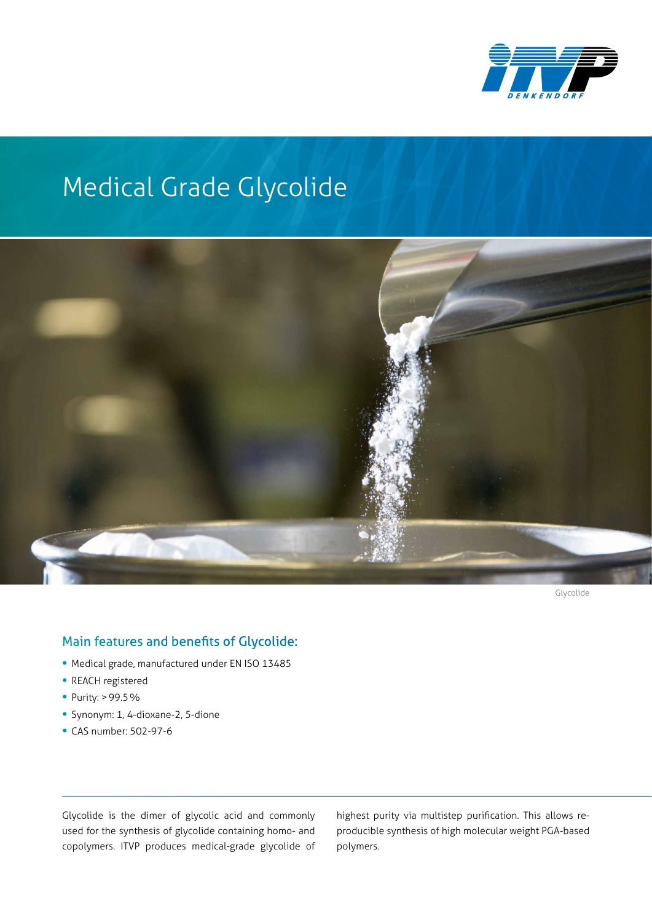

## Medical Grade Glycolide



Glycolide

## Main features and benefits of Glycolide:

- Medical grade, manufactured under EN ISO 13485
- REACH registered
- Purity: >99.5%
- Synonym: 1, 4-dioxane-2, 5-dione
- CAS number: 502-97-6

Glycolide is the dimer of glycolic acid and commonly used for the synthesis of glycolide containing homo- and copolymers. ITVP produces medical-grade glycolide of highest purity via multistep purification. This allows reproducible synthesis of high molecular weight PGA-based polymers.